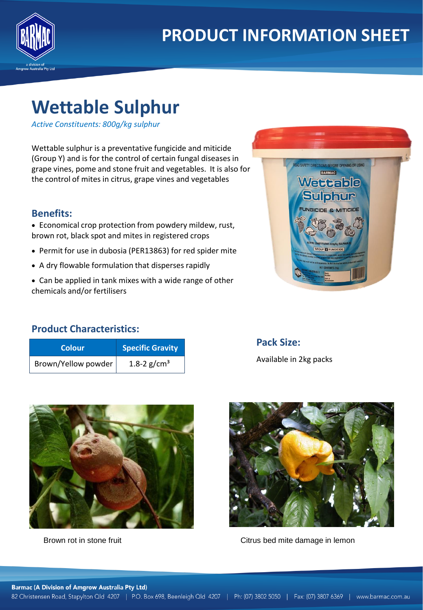

# **Wettable Sulphur**

*Active Constituents: 800g/kg sulphur*

Wettable sulphur is a preventative fungicide and miticide (Group Y) and is for the control of certain fungal diseases in grape vines, pome and stone fruit and vegetables. It is also for the control of mites in citrus, grape vines and vegetables

#### **Benefits:**

• Economical crop protection from powdery mildew, rust, brown rot, black spot and mites in registered crops

- Permit for use in dubosia (PER13863) for red spider mite
- A dry flowable formulation that disperses rapidly
- Can be applied in tank mixes with a wide range of other chemicals and/or fertilisers



### **Product Characteristics:**

| <b>Colour</b>       | <b>Specific Gravity</b> |  |
|---------------------|-------------------------|--|
| Brown/Yellow powder | 1.8-2 $g/cm^3$          |  |

## **Pack Size:** Available in 2kg packs





Brown rot in stone fruit Citrus bed mite damage in lemon